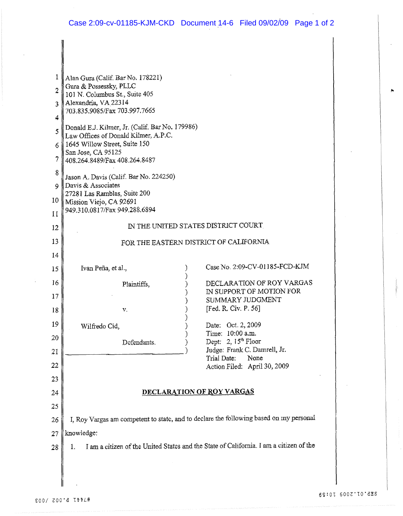| 1<br>$\overline{2}$<br>3<br>4 | Alan Gura (Calif. Bar No. 178221)<br>Gura & Possessky, PLLC<br>101 N. Columbus St., Suite 405<br>Alexandria, VA 22314<br>703.835.9085/Fax 703.997.7665 |                                                       |  |
|-------------------------------|--------------------------------------------------------------------------------------------------------------------------------------------------------|-------------------------------------------------------|--|
| 5<br>6.                       | Donald E.J. Kilmer, Jr. (Calif. Bar No. 179986)<br>Law Offices of Donald Kilmer, A.P.C.<br>1645 Willow Street, Suite 150                               |                                                       |  |
| 7                             | San Jose, CA 95125<br>408.264.8489/Fax 408.264.8487                                                                                                    |                                                       |  |
| 8<br>$\mathbf Q$              | Jason A. Davis (Calif. Bar No. 224250)<br>Davis & Associates                                                                                           |                                                       |  |
| 10                            | 27281 Las Ramblas, Suite 200<br>Mission Viejo, CA 92691                                                                                                |                                                       |  |
| 11                            | 949.310.0817/Fax 949.288.6894                                                                                                                          |                                                       |  |
| 12                            | IN THE UNITED STATES DISTRICT COURT                                                                                                                    |                                                       |  |
| 13<br>14                      | FOR THE EASTERN DISTRICT OF CALIFORNIA                                                                                                                 |                                                       |  |
| 15                            | Ivan Peña, et al.,                                                                                                                                     | Case No. 2:09-CV-01185-FCD-KJM                        |  |
| 16                            | Plaintiffs,                                                                                                                                            | DECLARATION OF ROY VARGAS                             |  |
| 17                            |                                                                                                                                                        | IN SUPPORT OF MOTION FOR<br>SUMMARY JUDGMENT          |  |
| 18                            | v.                                                                                                                                                     | [Fed. R. Civ. P. 56]                                  |  |
| 19<br>20                      | Wilfredo Cid,                                                                                                                                          | Date: Oct. 2, 2009<br>Time: 10:00 a.m.                |  |
| 21                            | Defendants.                                                                                                                                            | Dept: 2, $15th$ Floor<br>Judge: Frank C. Damrell, Jr. |  |
| 22                            |                                                                                                                                                        | Trial Date:<br>None<br>Action Filed: April 30, 2009   |  |
| 23                            |                                                                                                                                                        |                                                       |  |
| 24                            | DECLARATION OF ROY VARGAS                                                                                                                              |                                                       |  |
| 25<br>26                      | I, Roy Vargas am competent to state, and to declare the following based on my personal                                                                 |                                                       |  |
| 27                            | knowledge:                                                                                                                                             |                                                       |  |
| 28                            | I am a citizen of the United States and the State of California. I am a citizen of the<br>1.                                                           |                                                       |  |
|                               |                                                                                                                                                        |                                                       |  |
|                               |                                                                                                                                                        |                                                       |  |